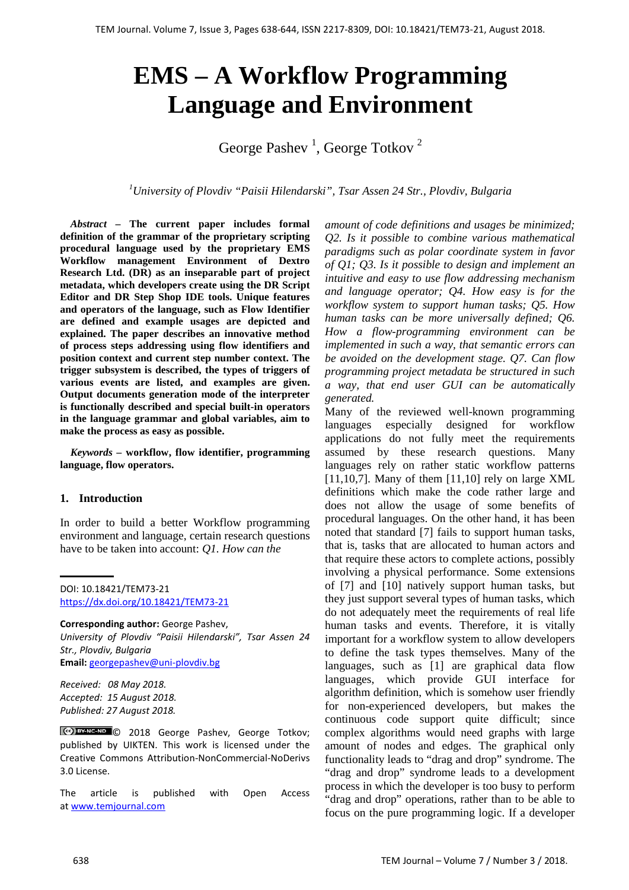# **EMS – A Workflow Programming Language and Environment**

George Pashev<sup>1</sup>, George Totkov<sup>2</sup>

*1 University of Plovdiv "Paisii Hilendarski", Tsar Assen 24 Str., Plovdiv, Bulgaria*

*Abstract –* **The current paper includes formal definition of the grammar of the proprietary scripting procedural language used by the proprietary EMS Workflow management Environment of Dextro Research Ltd. (DR) as an inseparable part of project metadata, which developers create using the DR Script Editor and DR Step Shop IDE tools. Unique features and operators of the language, such as Flow Identifier are defined and example usages are depicted and explained. The paper describes an innovative method of process steps addressing using flow identifiers and position context and current step number context. The trigger subsystem is described, the types of triggers of various events are listed, and examples are given. Output documents generation mode of the interpreter is functionally described and special built-in operators in the language grammar and global variables, aim to make the process as easy as possible.**

*Keywords –* **workflow, flow identifier, programming language, flow operators.**

### **1. Introduction**

In order to build a better Workflow programming environment and language, certain research questions have to be taken into account: *Q1. How can the*

**Corresponding author:** George Pashev, *University of Plovdiv "Paisii Hilendarski", Tsar Assen 24 Str., Plovdiv, Bulgaria* **Email:** georgepashev@uni-plovdiv.bg

*Received: 08 May 2018. Accepted: 15 August 2018. Published: 27 August 2018.*

Ccc) BY-NC-ND C 2018 George Pashev, George Totkov; published by UIKTEN. This work is licensed under the Creative Commons Attribution-NonCommercial-NoDerivs 3.0 License.

The article is published with Open Access a[t www.temjournal.com](http://www.temjournal.com/)

*amount of code definitions and usages be minimized; Q2. Is it possible to combine various mathematical paradigms such as polar coordinate system in favor of Q1; Q3. Is it possible to design and implement an intuitive and easy to use flow addressing mechanism and language operator; Q4. How easy is for the workflow system to support human tasks; Q5. How human tasks can be more universally defined; Q6. How a flow-programming environment can be implemented in such a way, that semantic errors can be avoided on the development stage. Q7. Can flow programming project metadata be structured in such a way, that end user GUI can be automatically generated.*

Many of the reviewed well-known programming languages especially designed for workflow applications do not fully meet the requirements assumed by these research questions. Many languages rely on rather static workflow patterns  $[11,10,7]$ . Many of them  $[11,10]$  rely on large XML definitions which make the code rather large and does not allow the usage of some benefits of procedural languages. On the other hand, it has been noted that standard [7] fails to support human tasks, that is, tasks that are allocated to human actors and that require these actors to complete actions, possibly involving a physical performance. Some extensions of [7] and [10] natively support human tasks, but they just support several types of human tasks, which do not adequately meet the requirements of real life human tasks and events. Therefore, it is vitally important for a workflow system to allow developers to define the task types themselves. Many of the languages, such as [1] are graphical data flow languages, which provide GUI interface for algorithm definition, which is somehow user friendly for non-experienced developers, but makes the continuous code support quite difficult; since complex algorithms would need graphs with large amount of nodes and edges. The graphical only functionality leads to "drag and drop" syndrome. The "drag and drop" syndrome leads to a development process in which the developer is too busy to perform "drag and drop" operations, rather than to be able to focus on the pure programming logic. If a developer

DOI: 10.18421/TEM73-21 <https://dx.doi.org/10.18421/TEM73-21>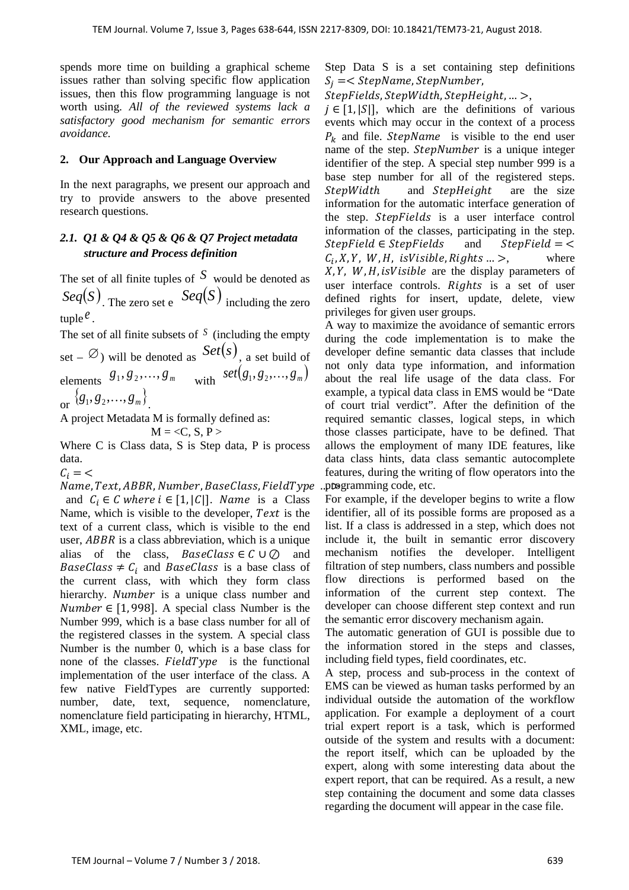spends more time on building a graphical scheme issues rather than solving specific flow application issues, then this flow programming language is not worth using. *All of the reviewed systems lack a satisfactory good mechanism for semantic errors avoidance.*

## **2. Our Approach and Language Overview**

In the next paragraphs, we present our approach and try to provide answers to the above presented research questions.

# *2.1. Q1 & Q4 & Q5 & Q6 & Q7 Project metadata structure and Process definition*

The set of all finite tuples of *S* would be denoted as  $Seq(S)$ . The zero set e  $Seq(S)$  including the zero tuple  $\ell$ .

The set of all finite subsets of *<sup>S</sup>* (including the empty set –  $\emptyset$ ) will be denoted as  $Set(s)$ , a set build of elements  $g_1, g_2, ..., g_m$  with  $\text{set}(g_1, g_2, ..., g_m)$ or  $\{g_1, g_2, ..., g_m\}$ .

A project Metadata M is formally defined as:

$$
M = \langle C, S, P \rangle
$$

Where C is Class data, S is Step data, P is process data.

 $C_i = \langle$ 

Name, Text, ABBR, Number, BaseClass, FieldType and  $C_i \in C$  where  $i \in [1, |C|]$ . Name is a Class Name, which is visible to the developer,  $Text$  is the text of a current class, which is visible to the end user,  $ABBR$  is a class abbreviation, which is a unique alias of the class,  $BaseClass \in \mathcal{C} \cup \mathcal{O}$  and  $BaseClass \neq C_i$  and BaseClass is a base class of the current class, with which they form class hierarchy. Number is a unique class number and *Number*  $\in$  [1,998]. A special class Number is the Number 999, which is a base class number for all of the registered classes in the system. A special class Number is the number 0, which is a base class for none of the classes.  $FieldType$  is the functional implementation of the user interface of the class. A few native FieldTypes are currently supported: number, date, text, sequence, nomenclature, nomenclature field participating in hierarchy, HTML, XML, image, etc.

Step Data S is a set containing step definitions  $S_i = <$  StepName, StepNumber,

 $StepFields$ ,  $StepWidth$ ,  $StepHeight$ , ...

 $j \in [1, |S|]$ , which are the definitions of various events which may occur in the context of a process  $P_k$  and file. StepName is visible to the end user name of the step. StepNumber is a unique integer identifier of the step. A special step number 999 is a base step number for all of the registered steps. StepWidth and StepHeight are the size information for the automatic interface generation of the step. *StepFields* is a user interface control information of the classes, participating in the step.  $StepField \in StepFields$  and  $StepField \neq C. X.Y.W.H. is Visible, Rights \Rightarrow$  where  $C_i, X, Y, W, H$ , is Visible, Rights ... >,  $X, Y, W, H$ , is Visible are the display parameters of user interface controls. Rights is a set of user defined rights for insert, update, delete, view privileges for given user groups.

A way to maximize the avoidance of semantic errors during the code implementation is to make the developer define semantic data classes that include not only data type information, and information about the real life usage of the data class. For example, a typical data class in EMS would be "Date of court trial verdict". After the definition of the required semantic classes, logical steps, in which those classes participate, have to be defined. That allows the employment of many IDE features, like data class hints, data class semantic autocomplete features, during the writing of flow operators into the programming code, etc.

For example, if the developer begins to write a flow identifier, all of its possible forms are proposed as a list. If a class is addressed in a step, which does not include it, the built in semantic error discovery mechanism notifies the developer. Intelligent filtration of step numbers, class numbers and possible flow directions is performed based on the information of the current step context. The developer can choose different step context and run the semantic error discovery mechanism again.

The automatic generation of GUI is possible due to the information stored in the steps and classes, including field types, field coordinates, etc.

A step, process and sub-process in the context of EMS can be viewed as human tasks performed by an individual outside the automation of the workflow application. For example a deployment of a court trial expert report is a task, which is performed outside of the system and results with a document: the report itself, which can be uploaded by the expert, along with some interesting data about the expert report, that can be required. As a result, a new step containing the document and some data classes regarding the document will appear in the case file.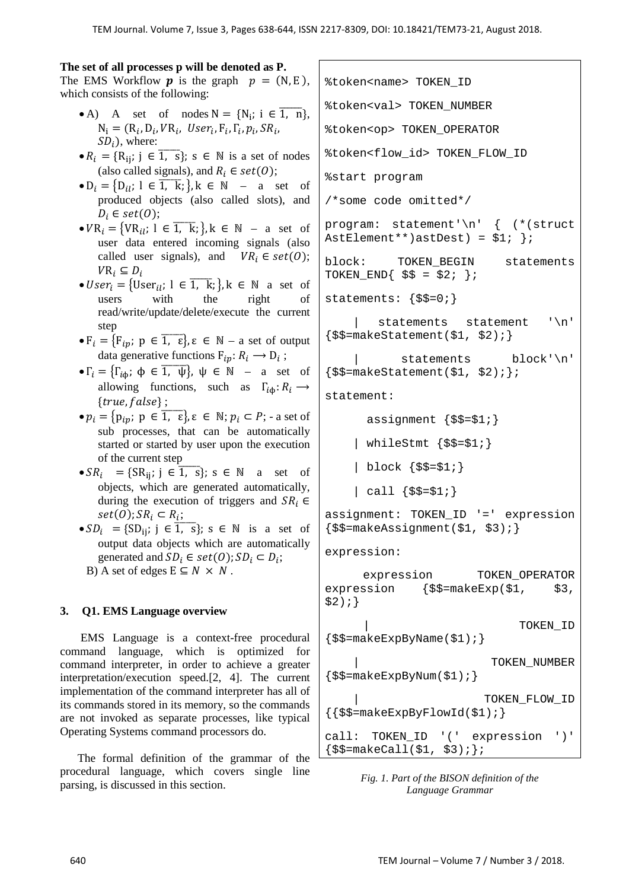%token<name> TOKEN\_ID

#### **The set of all processes p will be denoted as P.**

The EMS Workflow **p** is the graph  $p = (N, E)$ . which consists of the following:

- A) A set of nodes  $N = \{N_i; i \in \overline{1, n}\},\$  $N_i = (R_i, D_i, VR_i, User_i, F_i, \Gamma_i, p_i, SR_i,$  $SD<sub>i</sub>$ ), where:
- $R_i = \{R_{ij}; j \in \overline{1, s}\}; s \in \mathbb{N}$  is a set of nodes (also called signals), and  $R_i \in set(0);$
- $D_i = \{D_{ii}; \, 1 \in \overline{1, k}; \}$ ,  $k \in \mathbb{N}$  a set of produced objects (also called slots), and  $D_i \in set(O);$
- $VR_i = \{VR_{il}; l \in \overline{1, k}; \}$ ,  $k \in \mathbb{N}$  a set of user data entered incoming signals (also called user signals), and  $VR_i \in set(0);$  $VR_i \subseteq D_i$
- $User_i = \{User_{ii}; 1 \in \overline{1, k}; \}$ ,  $k \in \mathbb{N}$  a set of users with the right of read/write/update/delete/execute the current step
- $\bullet$   $F_i = \{F_{ip}; p \in \overline{1, \varepsilon}\}, \varepsilon \in \mathbb{N} \text{a set of output}\right\}$ data generative functions  $F_{in}: R_i \longrightarrow D_i$ ;
- $\bullet \Gamma_i = \{\Gamma_{i\phi}; \phi \in \overline{1, \psi}\}, \psi \in \mathbb{N}$  a set of allowing functions, such as  $\Gamma_{i\phi} : R_i \longrightarrow$  ${true, false};$
- $\bullet p_i = \{p_{ip}; p \in \overline{1, \epsilon}\}, \epsilon \in \mathbb{N}; p_i \subset P; \text{-a set of}$ sub processes, that can be automatically started or started by user upon the execution of the current step
- $SR_i$  = { $SR_{ij}$ ; j  $\in \overline{1, s}$ }; s  $\in \mathbb{N}$  a set of objects, which are generated automatically, during the execution of triggers and  $SR_i \in$  $set(0); SR_i \subset R_i;$
- $SD_i = \{SD_{ij}; j \in \overline{1, s}\}; s \in \mathbb{N}$  is a set of output data objects which are automatically generated and  $SD_i \in set(O)$ ;  $SD_i \subset D_i$ ;
	- B) A set of edges  $E \subseteq N \times N$ .

# **3. Q1. EMS Language overview**

 EMS Language is a context-free procedural command language, which is optimized for command interpreter, in order to achieve a greater interpretation/execution speed.[2, 4]. The current implementation of the command interpreter has all of its commands stored in its memory, so the commands are not invoked as separate processes, like typical Operating Systems command processors do.

 The formal definition of the grammar of the procedural language, which covers single line parsing, is discussed in this section.

%token<val> TOKEN\_NUMBER %token<op> TOKEN\_OPERATOR %token<flow\_id> TOKEN\_FLOW\_ID %start program /\*some code omitted\*/ program: statement'\n' { (\*(struct AstElement\*\*)astDest) =  $$1;$  }; block: TOKEN\_BEGIN statements TOKEN END{  $$\$ = $2; }$  }; statements: {\$\$=0;} statements statement '\n'  $\{$ \$\$=makeStatement(\$1, \$2);} statements block'\n'  $\{\frac{\xi}{\xi}=\text{makeStatement}(\xi1, \xi2);\}$ statement: assignment  $\{\$\$=\$1;\}$ | whileStmt  $\{\$\$=\$1;\}$  | block {\$\$=\$1;}  $\left| \right|$  call  $\{\$$ \$ = \$1; } assignment: TOKEN\_ID '=' expression  $\{$ \$\$=makeAssignment(\$1, \$3);} expression: expression TOKEN OPERATOR expression  $\{\$\$$  $=$ makeExp( $\$1$ ,  $\$3$ ,  $$2)$ ; } | TOKEN\_ID  $\{$ \$\$=makeExpByName(\$1);} TOKEN NUMBER  $\{$ \$\$=makeExpByNum(\$1); } | TOKEN\_FLOW\_ID  $\{\{\$$ \$\$=makeExpByFlowId(\$1);} call: TOKEN\_ID '(' expression ')'  $\{$ \$\$=makeCall(\$1, \$3); };

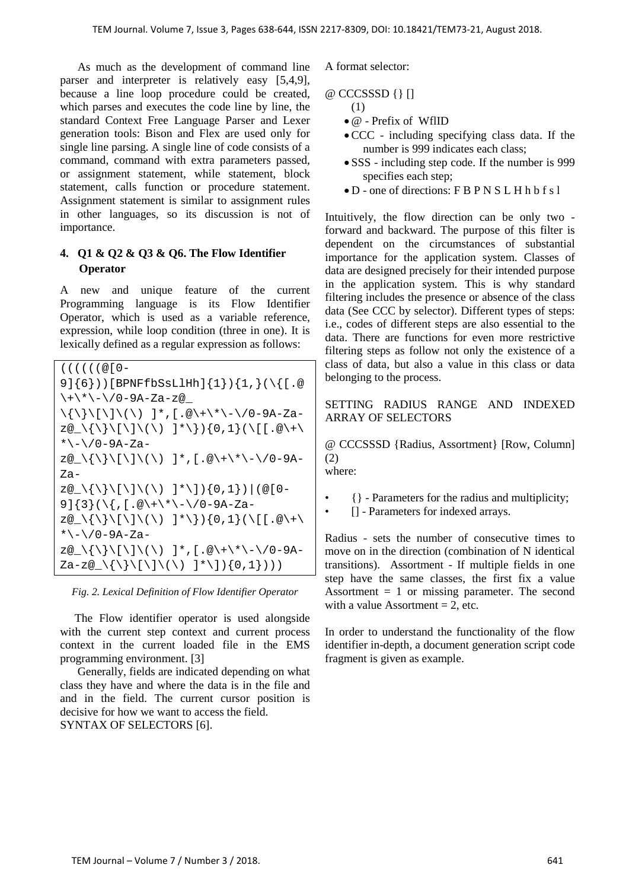As much as the development of command line parser and interpreter is relatively easy [5,4,9], because a line loop procedure could be created, which parses and executes the code line by line, the standard Context Free Language Parser and Lexer generation tools: Bison and Flex are used only for single line parsing. A single line of code consists of a command, command with extra parameters passed, or assignment statement, while statement, block statement, calls function or procedure statement. Assignment statement is similar to assignment rules in other languages, so its discussion is not of importance.

# **4. Q1 & Q2 & Q3 & Q6. The Flow Identifier Operator**

A new and unique feature of the current Programming language is its Flow Identifier Operator, which is used as a variable reference, expression, while loop condition (three in one). It is lexically defined as a regular expression as follows:

| $($ ( $($ $($ $($ $@$ $[$ $0$ $-$                                                                                                         |
|-------------------------------------------------------------------------------------------------------------------------------------------|
| 9] $(6)$ ))[BPNFfbSsLlHh] $\{1\}$ ) $\{1, \}$ ( $\{$ [.@                                                                                  |
| \+\*\-\/0-9A-Za-z@                                                                                                                        |
| $\{\{\}\{\{\}\}\$ / $[\{\setminus\} \setminus (\setminus) \quad ]^*, [. \@\setminus + \setminus ^* \setminus - \setminus / 0 - 9A - Za -$ |
| z@_\{\}\[\]\(\) ]*\}){0,1}(\[[.@\+\                                                                                                       |
| *\-\/0-9A-Za-                                                                                                                             |
| z@_\{\}\[\]\(\) ]*,[.@\+\*\-\/0-9A-                                                                                                       |
| Za-                                                                                                                                       |
| z@_\{\}\[\]\(\) ]*\]){0,1}) (@[0-                                                                                                         |
| 9] $\{3\}$ (\ $\{$ ,[.@\+\*\-\/0-9A-Za-                                                                                                   |
| z@_\{\}\[\]\(\) ]*\}){0,1}(\[[.@\+\                                                                                                       |
| *\-\/0-9A-Za-                                                                                                                             |
| z@_\{\}\[\]\(\) ]*,[.@\+\*\-\/0-9A-                                                                                                       |
|                                                                                                                                           |

*Fig. 2. Lexical Definition of Flow Identifier Operator*

 The Flow identifier operator is used alongside with the current step context and current process context in the current loaded file in the EMS programming environment. [3]

 Generally, fields are indicated depending on what class they have and where the data is in the file and and in the field. The current cursor position is decisive for how we want to access the field. SYNTAX OF SELECTORS [6].

A format selector:

## @ CCCSSSD {} []

- (1)
- @ Prefix of WflID
- CCC including specifying class data. If the number is 999 indicates each class;
- SSS including step code. If the number is 999 specifies each step;
- D one of directions: F B P N S L H h b f s l

Intuitively, the flow direction can be only two forward and backward. The purpose of this filter is dependent on the circumstances of substantial importance for the application system. Classes of data are designed precisely for their intended purpose in the application system. This is why standard filtering includes the presence or absence of the class data (See CCC by selector). Different types of steps: i.e., codes of different steps are also essential to the data. There are functions for even more restrictive filtering steps as follow not only the existence of a class of data, but also a value in this class or data belonging to the process.

## SETTING RADIUS RANGE AND INDEXED ARRAY OF SELECTORS

@ CCCSSSD {Radius, Assortment} [Row, Column] (2) where:

- {} Parameters for the radius and multiplicity;
- [] Parameters for indexed arrays.

Radius - sets the number of consecutive times to move on in the direction (combination of N identical transitions). Assortment - If multiple fields in one step have the same classes, the first fix a value Assortment  $= 1$  or missing parameter. The second with a value Assortment  $= 2$ , etc.

In order to understand the functionality of the flow identifier in-depth, a document generation script code fragment is given as example.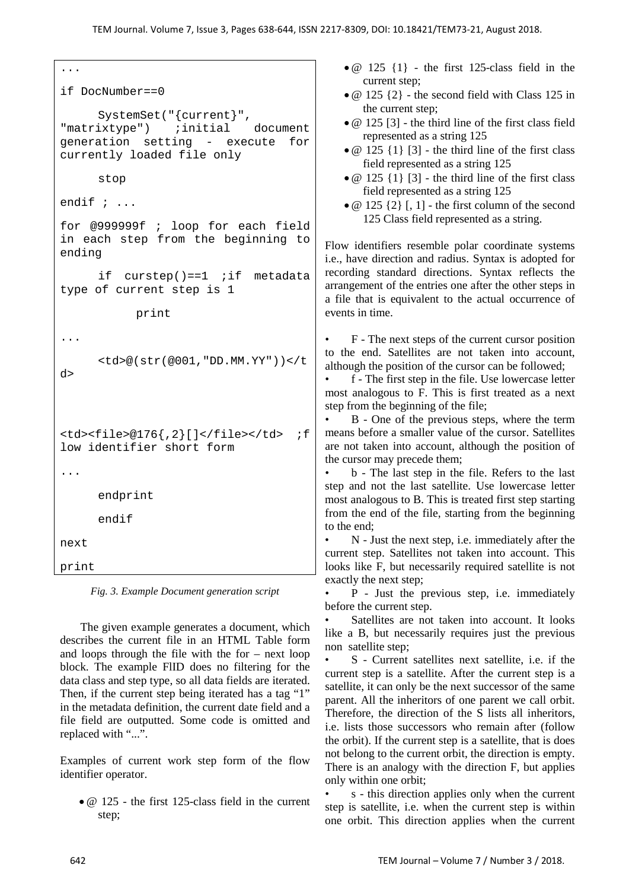```
...
if DocNumber==0
     SystemSet("{current}", 
"matrixtype")
generation setting - execute for 
currently loaded file only
     stop
endif ; ...
for @999999f ; loop for each field 
in each step from the beginning to 
ending
     if curstep()==1 ;if metadata 
type of current step is 1
           print
...
     <td>@(str(@001,"DD.MM.YY"))</t
d> 
<td><file>@176{,2}[]</file></td> ;f
low identifier short form
... 
     endprint 
     endif 
next
print
```
*Fig. 3. Example Document generation script*

 The given example generates a document, which describes the current file in an HTML Table form and loops through the file with the for – next loop block. The example FlID does no filtering for the data class and step type, so all data fields are iterated. Then, if the current step being iterated has a tag "1" in the metadata definition, the current date field and a file field are outputted. Some code is omitted and replaced with "...".

Examples of current work step form of the flow identifier operator.

• @ 125 - the first 125-class field in the current step;

- $\bullet$  @ 125 {1} the first 125-class field in the current step;
- $@ 125 {2}$  the second field with Class 125 in the current step;
- @ 125 [3] the third line of the first class field represented as a string 125
- $\bullet$  @ 125 {1} [3] the third line of the first class field represented as a string 125
- $\bullet$  @ 125 {1} [3] the third line of the first class field represented as a string 125
- $\bullet$  @ 125 {2} [, 1] the first column of the second 125 Class field represented as a string.

Flow identifiers resemble polar coordinate systems i.e., have direction and radius. Syntax is adopted for recording standard directions. Syntax reflects the arrangement of the entries one after the other steps in a file that is equivalent to the actual occurrence of events in time.

• F - The next steps of the current cursor position to the end. Satellites are not taken into account, although the position of the cursor can be followed;

• f - The first step in the file. Use lowercase letter most analogous to F. This is first treated as a next step from the beginning of the file;

• B - One of the previous steps, where the term means before a smaller value of the cursor. Satellites are not taken into account, although the position of the cursor may precede them;

• b - The last step in the file. Refers to the last step and not the last satellite. Use lowercase letter most analogous to B. This is treated first step starting from the end of the file, starting from the beginning to the end;

• N - Just the next step, i.e. immediately after the current step. Satellites not taken into account. This looks like F, but necessarily required satellite is not exactly the next step;

• P - Just the previous step, i.e. immediately before the current step.

Satellites are not taken into account. It looks like a B, but necessarily requires just the previous non satellite step;

• S - Current satellites next satellite, i.e. if the current step is a satellite. After the current step is a satellite, it can only be the next successor of the same parent. All the inheritors of one parent we call orbit. Therefore, the direction of the S lists all inheritors, i.e. lists those successors who remain after (follow the orbit). If the current step is a satellite, that is does not belong to the current orbit, the direction is empty. There is an analogy with the direction F, but applies only within one orbit;

s - this direction applies only when the current step is satellite, i.e. when the current step is within one orbit. This direction applies when the current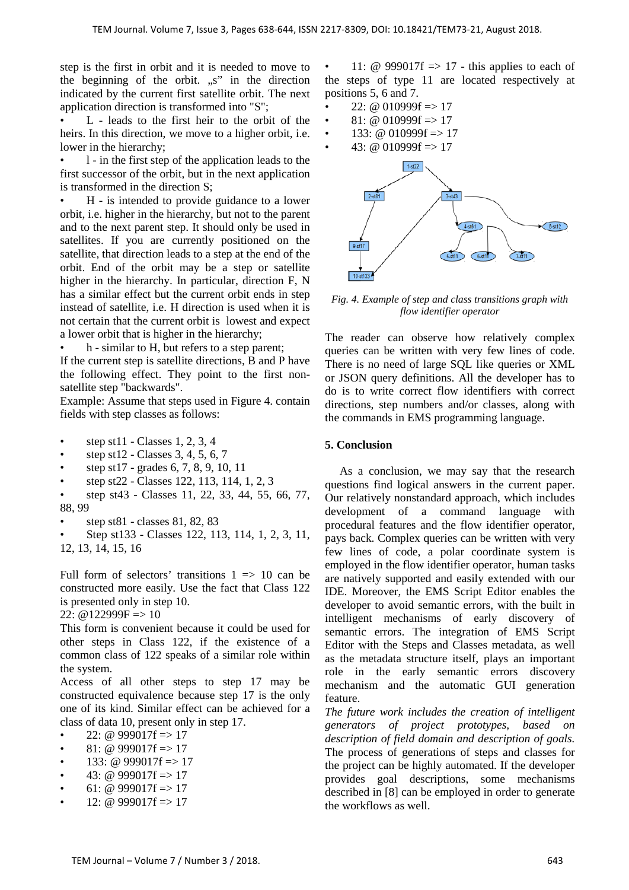step is the first in orbit and it is needed to move to the beginning of the orbit.  $\mathbb{R}^n$  in the direction indicated by the current first satellite orbit. The next application direction is transformed into "S";

• L - leads to the first heir to the orbit of the heirs. In this direction, we move to a higher orbit, i.e. lower in the hierarchy;

• l - in the first step of the application leads to the first successor of the orbit, but in the next application is transformed in the direction S;

• H - is intended to provide guidance to a lower orbit, i.e. higher in the hierarchy, but not to the parent and to the next parent step. It should only be used in satellites. If you are currently positioned on the satellite, that direction leads to a step at the end of the orbit. End of the orbit may be a step or satellite higher in the hierarchy. In particular, direction F, N has a similar effect but the current orbit ends in step instead of satellite, i.e. H direction is used when it is not certain that the current orbit is lowest and expect a lower orbit that is higher in the hierarchy;

• h - similar to H, but refers to a step parent;

If the current step is satellite directions, B and P have the following effect. They point to the first nonsatellite step "backwards".

Example: Assume that steps used in Figure 4. contain fields with step classes as follows:

- step st11 Classes 1, 2, 3, 4
- step st12 Classes 3, 4, 5, 6, 7
- step st17 grades 6, 7, 8, 9, 10, 11
- step st22 Classes 122, 113, 114, 1, 2, 3
- step st43 Classes 11, 22, 33, 44, 55, 66, 77, 88, 99
- step st81 classes 81, 82, 83

• Step st133 - Classes 122, 113, 114, 1, 2, 3, 11, 12, 13, 14, 15, 16

Full form of selectors' transitions  $1 \implies 10$  can be constructed more easily. Use the fact that Class 122 is presented only in step 10.

22:  $@122999F \Rightarrow 10$ 

This form is convenient because it could be used for other steps in Class 122, if the existence of a common class of 122 speaks of a similar role within the system.

Access of all other steps to step 17 may be constructed equivalence because step 17 is the only one of its kind. Similar effect can be achieved for a class of data 10, present only in step 17.

22: @ 999017f  $\Rightarrow$  17

- $81: \omega$  999017f => 17
- 133: @ 999017f  $\equiv$  > 17
- 43: @ 999017f => 17
- 61: @  $999017f \Rightarrow 17$
- 12: @  $999017f \Rightarrow 17$

11: @ 999017f  $\Rightarrow$  17 - this applies to each of the steps of type 11 are located respectively at positions 5, 6 and 7.

- 22: @ 010999f  $\Rightarrow$  17
- 81: @ 010999f  $\Rightarrow$  17
- 133: @ 010999f  $\Rightarrow$  17
- 43: @ 010999f  $\Rightarrow$  17



*Fig. 4. Example of step and class transitions graph with flow identifier operator*

The reader can observe how relatively complex queries can be written with very few lines of code. There is no need of large SQL like queries or XML or JSON query definitions. All the developer has to do is to write correct flow identifiers with correct directions, step numbers and/or classes, along with the commands in EMS programming language.

#### **5. Conclusion**

 As a conclusion, we may say that the research questions find logical answers in the current paper. Our relatively nonstandard approach, which includes development of a command language with procedural features and the flow identifier operator, pays back. Complex queries can be written with very few lines of code, a polar coordinate system is employed in the flow identifier operator, human tasks are natively supported and easily extended with our IDE. Moreover, the EMS Script Editor enables the developer to avoid semantic errors, with the built in intelligent mechanisms of early discovery of semantic errors. The integration of EMS Script Editor with the Steps and Classes metadata, as well as the metadata structure itself, plays an important role in the early semantic errors discovery mechanism and the automatic GUI generation feature.

*The future work includes the creation of intelligent generators of project prototypes, based on description of field domain and description of goals.* The process of generations of steps and classes for the project can be highly automated. If the developer provides goal descriptions, some mechanisms described in [8] can be employed in order to generate the workflows as well.